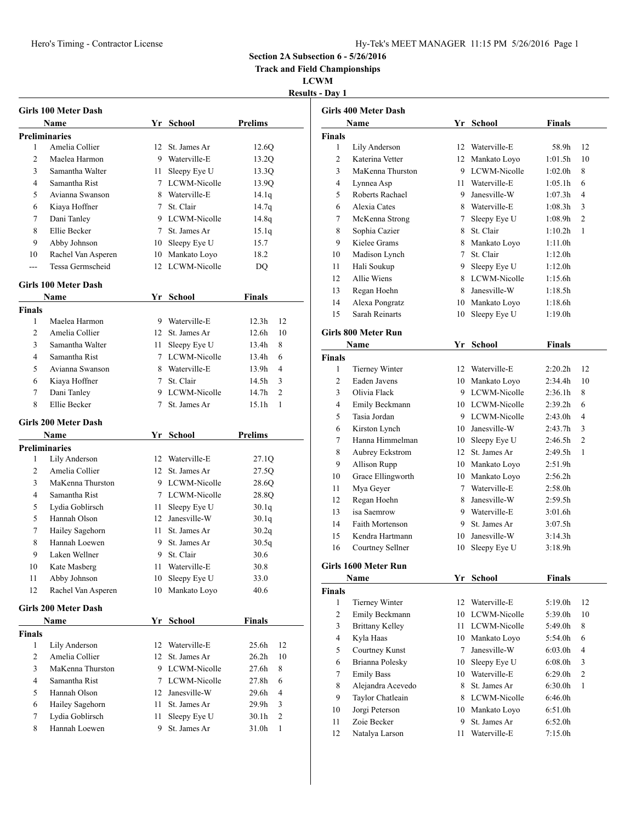## Hy-Tek's MEET MANAGER 11:15 PM 5/26/2016 Page 1

### **Section 2A Subsection 6 - 5/26/2016**

**Track and Field Championships**

**LCWM**

**Results - Day 1**

|                |                             |             |                 | rest                    |
|----------------|-----------------------------|-------------|-----------------|-------------------------|
|                | Girls 100 Meter Dash        |             |                 |                         |
|                | Name                        |             | Yr School       | <b>Prelims</b>          |
|                | <b>Preliminaries</b>        |             |                 |                         |
| 1              | Amelia Collier              |             | 12 St. James Ar | 12.6Q                   |
| $\overline{c}$ | Maelea Harmon               |             | 9 Waterville-E  | 13.2Q                   |
| 3              | Samantha Walter             | 11 -        | Sleepy Eye U    | 13.3Q                   |
| 4              | Samantha Rist               | $\tau$      | LCWM-Nicolle    | 13.9Q                   |
| 5              | Avianna Swanson             |             | 8 Waterville-E  | 14.1q                   |
| 6              | Kiaya Hoffner               |             | 7 St. Clair     | 14.7q                   |
| 7              | Dani Tanley                 |             | 9 LCWM-Nicolle  | 14.8q                   |
| 8              | Ellie Becker                | $7^{\circ}$ | St. James Ar    | 15.1q                   |
| 9              | Abby Johnson                |             | 10 Sleepy Eye U | 15.7                    |
| 10             | Rachel Van Asperen          | 10          | Mankato Loyo    | 18.2                    |
| ---            | Tessa Germscheid            | 12          | LCWM-Nicolle    | DQ                      |
|                | Girls 100 Meter Dash        |             |                 |                         |
|                | Name                        |             | Yr School       | <b>Finals</b>           |
| <b>Finals</b>  |                             |             |                 |                         |
| 1              | Maelea Harmon               |             | 9 Waterville-E  | 12.3h<br>12             |
| $\overline{c}$ | Amelia Collier              |             | 12 St. James Ar | 12.6h<br>10             |
| 3              | Samantha Walter             | 11 -        | Sleepy Eye U    | 13.4h<br>8              |
| 4              | Samantha Rist               | 7           | LCWM-Nicolle    | 13.4h<br>6              |
| 5              | Avianna Swanson             |             | 8 Waterville-E  | 13.9h<br>4              |
| 6              | Kiaya Hoffner               | 7           | St. Clair       | 14.5h<br>3              |
| 7              | Dani Tanley                 |             | 9 LCWM-Nicolle  | $\overline{c}$<br>14.7h |
| 8              | Ellie Becker                | 7           | St. James Ar    | 15.1 <sub>h</sub><br>1  |
|                | Girls 200 Meter Dash        |             |                 |                         |
|                | Name                        |             | Yr School       | <b>Prelims</b>          |
|                | <b>Preliminaries</b>        |             |                 |                         |
| 1              | Lily Anderson               |             | 12 Waterville-E | 27.1Q                   |
| 2              | Amelia Collier              |             | 12 St. James Ar | 27.5Q                   |
| 3              | MaKenna Thurston            |             | 9 LCWM-Nicolle  | 28.6Q                   |
| 4              | Samantha Rist               |             | 7 LCWM-Nicolle  | 28.8Q                   |
| 5              | Lydia Goblirsch             | 11 -        | Sleepy Eye U    | 30.1q                   |
| 5              | Hannah Olson                |             | 12 Janesville-W | 30.1q                   |
| 7              | Hailey Sagehorn             |             | 11 St. James Ar | 30.2q                   |
| 8              | Hannah Loewen               | 9           | St. James Ar    | 30.5q                   |
| 9              | Laken Wellner               | 9           | St. Clair       | 30.6                    |
| 10             | Kate Masberg                | 11          | Waterville-E    | 30.8                    |
| 11             | Abby Johnson                | 10          | Sleepy Eye U    | 33.0                    |
| 12             | Rachel Van Asperen          | 10          | Mankato Loyo    | 40.6                    |
|                | <b>Girls 200 Meter Dash</b> |             |                 |                         |
|                | Name                        |             | Yr School       | <b>Finals</b>           |
| Finals         |                             |             |                 |                         |
| 1              | Lily Anderson               | 12          | Waterville-E    | 25.6h<br>12             |
| 2              | Amelia Collier              | 12          | St. James Ar    | 26.2h<br>10             |
| 3              | MaKenna Thurston            | 9           | LCWM-Nicolle    | 27.6h<br>8              |
| 4              | Samantha Rist               | 7           | LCWM-Nicolle    | 27.8h<br>6              |
| 5              | Hannah Olson                | 12          | Janesville-W    | 29.6h<br>4              |
| 6              | Hailey Sagehorn             | 11          | St. James Ar    | 29.9h<br>3              |
| 7              | Lydia Goblirsch             | 11          | Sleepy Eye U    | $\mathbf{2}$<br>30.1h   |
| 8              | Hannah Loewen               | 9           | St. James Ar    | 31.0h<br>1              |
|                |                             |             |                 |                         |

|                         | <b>Girls 400 Meter Dash</b><br>Name |                   | Yr School       | Finals              |                |
|-------------------------|-------------------------------------|-------------------|-----------------|---------------------|----------------|
| <b>Finals</b>           |                                     |                   |                 |                     |                |
| 1                       | Lily Anderson                       |                   | 12 Waterville-E | 58.9h               | 12             |
| 2                       | Katerina Vetter                     |                   | 12 Mankato Loyo | 1:01.5h             | 10             |
| 3                       | MaKenna Thurston                    |                   | 9 LCWM-Nicolle  | 1:02.0h             | 8              |
| 4                       | Lynnea Asp                          | 11 -              | Waterville-E    | 1:05.1h             | 6              |
| 5                       | Roberts Rachael                     |                   | 9 Janesville-W  | 1:07.3h             | 4              |
| 6                       | Alexia Cates                        |                   | 8 Waterville-E  | 1:08.3h             | 3              |
| 7                       | McKenna Strong                      | 7 <sup>7</sup>    | Sleepy Eye U    | 1:08.9h             | $\overline{2}$ |
| 8                       | Sophia Cazier                       |                   | 8 St. Clair     | 1:10.2h             | 1              |
| 9                       | Kielee Grams                        |                   | 8 Mankato Loyo  | 1:11.0h             |                |
| 10                      | Madison Lynch                       | $7\phantom{.000}$ | St. Clair       | 1:12.0h             |                |
| 11                      | Hali Soukup                         |                   | 9 Sleepy Eye U  | 1:12.0h             |                |
| 12                      | Allie Wiens                         |                   | 8 LCWM-Nicolle  |                     |                |
|                         |                                     |                   |                 | 1:15.6h             |                |
| 13                      | Regan Hoehn                         | 8                 | Janesville-W    | 1:18.5h             |                |
| 14                      | Alexa Pongratz                      | 10                | Mankato Loyo    | 1:18.6h             |                |
| 15                      | Sarah Reinarts                      | 10                | Sleepy Eye U    | 1:19.0h             |                |
|                         | <b>Girls 800 Meter Run</b>          |                   |                 |                     |                |
|                         | Name                                |                   | Yr School       | Finals              |                |
| <b>Finals</b>           |                                     |                   |                 |                     |                |
| 1                       | <b>Tierney Winter</b>               |                   | 12 Waterville-E | 2:20.2 <sub>h</sub> | 12             |
| 2                       | Eaden Javens                        |                   | 10 Mankato Loyo | 2:34.4h             | 10             |
| 3                       | Olivia Flack                        |                   | 9 LCWM-Nicolle  | 2:36.1h             | 8              |
| 4                       | Emily Beckmann                      |                   | 10 LCWM-Nicolle | 2:39.2 <sub>h</sub> | 6              |
| 5                       | Tasia Jordan                        |                   | 9 LCWM-Nicolle  | 2:43.0h             | $\overline{4}$ |
| 6                       | Kirston Lynch                       |                   | 10 Janesville-W | 2:43.7 <sub>h</sub> | 3              |
| 7                       | Hanna Himmelman                     |                   | 10 Sleepy Eye U | 2:46.5h             | $\overline{c}$ |
| 8                       | Aubrey Eckstrom                     |                   | 12 St. James Ar | 2:49.5h             | 1              |
| 9                       | <b>Allison Rupp</b>                 |                   | 10 Mankato Loyo | 2:51.9h             |                |
| 10                      | Grace Ellingworth                   | 10                | Mankato Loyo    | 2:56.2h             |                |
| 11                      | Mya Geyer                           | $7^{\circ}$       | Waterville-E    | 2:58.0h             |                |
| 12                      | Regan Hoehn                         |                   | 8 Janesville-W  | 2:59.5h             |                |
| 13                      | isa Saemrow                         |                   | 9 Waterville-E  | 3:01.6h             |                |
| 14                      | <b>Faith Mortenson</b>              |                   | 9 St. James Ar  | 3:07.5h             |                |
| 15                      | Kendra Hartmann                     | 10                | Janesville-W    | 3:14.3h             |                |
| 16                      | Courtney Sellner                    | 10                | Sleepy Eye U    | 3:18.9h             |                |
|                         |                                     |                   |                 |                     |                |
|                         | Girls 1600 Meter Run                |                   |                 |                     |                |
|                         | Name                                | Yr                | School          | <b>Finals</b>       |                |
| <b>Finals</b>           |                                     |                   |                 |                     |                |
| $\mathbf{1}$            | <b>Tierney Winter</b>               | 12                | Waterville-E    | 5:19.0h             | 12             |
| $\overline{c}$          | Emily Beckmann                      | 10                | LCWM-Nicolle    | 5:39.0h             | 10             |
| 3                       | <b>Brittany Kelley</b>              | 11                | LCWM-Nicolle    | 5:49.0h             | 8              |
| $\overline{\mathbf{4}}$ | Kyla Haas                           | 10                | Mankato Loyo    | 5:54.0h             | 6              |
| 5                       | Courtney Kunst                      | 7                 | Janesville-W    | 6:03.0h             | 4              |
| 6                       | Brianna Polesky                     | 10                | Sleepy Eye U    | 6:08.0h             | 3              |
| $\tau$                  | <b>Emily Bass</b>                   | 10                | Waterville-E    | 6:29.0h             | 2              |
| 8                       | Alejandra Acevedo                   | 8                 | St. James Ar    | 6:30.0h             | 1              |
| 9                       | Taylor Chatleain                    |                   | 8 LCWM-Nicolle  | 6:46.0h             |                |
| 10                      | Jorgi Peterson                      | 10                | Mankato Loyo    | 6:51.0h             |                |
|                         | Zoie Becker                         | 9                 | St. James Ar    | 6:52.0h             |                |
| 11                      |                                     |                   |                 |                     |                |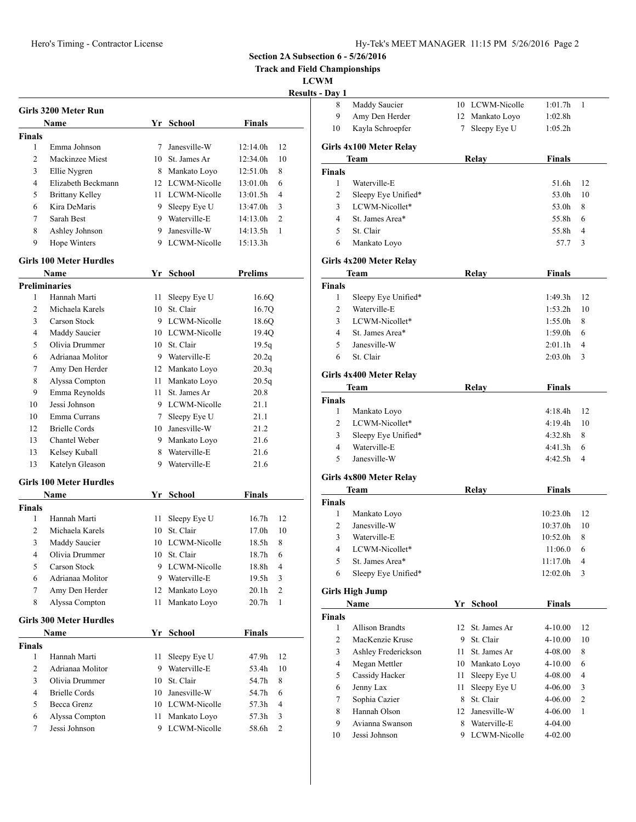**Track and Field Championships**

**LCWM**

**Results - D** 

|                |                                |      |                                  |                      | Kest           |
|----------------|--------------------------------|------|----------------------------------|----------------------|----------------|
|                | Girls 3200 Meter Run           |      |                                  |                      |                |
|                | Name                           |      | Yr School                        | <b>Finals</b>        |                |
| Finals<br>1    | Emma Johnson                   | 7    | Janesville-W                     |                      | 12             |
| $\overline{c}$ | Mackinzee Miest                |      | 10 St. James Ar                  | 12:14.0h<br>12:34.0h | 10             |
|                |                                |      |                                  |                      | 8              |
| 3              | Ellie Nygren                   |      | 8 Mankato Loyo                   | 12:51.0h             |                |
| 4              | Elizabeth Beckmann             |      | 12 LCWM-Nicolle                  | 13:01.0h             | 6              |
| 5              | <b>Brittany Kelley</b>         |      | 11 LCWM-Nicolle                  | 13:01.5h             | 4              |
| 6              | Kira DeMaris                   | 9.   | Sleepy Eye U                     | 13:47.0h             | 3              |
| 7              | Sarah Best                     |      | 9 Waterville-E<br>9 Janesville-W | 14:13.0h             | 2<br>1         |
| 8              | Ashley Johnson                 |      | 9 LCWM-Nicolle                   | 14:13.5h             |                |
| 9              | Hope Winters                   |      |                                  | 15:13.3h             |                |
|                | <b>Girls 100 Meter Hurdles</b> |      |                                  |                      |                |
|                | Name                           |      | Yr School                        | <b>Prelims</b>       |                |
|                | <b>Preliminaries</b>           |      |                                  |                      |                |
| 1              | Hannah Marti                   | 11   | Sleepy Eye U                     | 16.6Q                |                |
| 2              | Michaela Karels                | 10   | St. Clair                        | 16.7Q                |                |
| 3              | Carson Stock                   |      | 9 LCWM-Nicolle                   | 18.6Q                |                |
| 4              | Maddy Saucier                  |      | 10 LCWM-Nicolle                  | 19.4Q                |                |
| 5              | Olivia Drummer                 |      | 10 St. Clair                     | 19.5q                |                |
| 6              | Adrianaa Molitor               |      | 9 Waterville-E                   | 20.2q                |                |
| 7              | Amy Den Herder                 |      | 12 Mankato Loyo                  | 20.3q                |                |
| 8              | Alyssa Compton                 |      | 11 Mankato Loyo                  | 20.5q                |                |
| 9              | Emma Reynolds                  | 11 - | St. James Ar                     | 20.8                 |                |
| 10             | Jessi Johnson                  |      | 9 LCWM-Nicolle                   | 21.1                 |                |
| 10             | Emma Currans                   | 7    | Sleepy Eye U                     | 21.1                 |                |
| 12             | <b>Brielle Cords</b>           |      | 10 Janesville-W                  | 21.2                 |                |
| 13             | Chantel Weber                  |      | 9 Mankato Loyo                   | 21.6                 |                |
| 13             | Kelsey Kuball                  | 8    | Waterville-E                     | 21.6                 |                |
| 13             | Katelyn Gleason                | 9.   | Waterville-E                     | 21.6                 |                |
|                | <b>Girls 100 Meter Hurdles</b> |      |                                  |                      |                |
|                | <b>Name</b>                    | Yr   | <b>School</b>                    | Finals               |                |
| <b>Finals</b>  |                                |      |                                  |                      |                |
| 1              | Hannah Marti                   | 11 - | Sleepy Eye U                     | 16.7h                | 12             |
| 2              | Michaela Karels                | 10   | St. Clair                        | 17.0h                | 10             |
| 3              | Maddy Saucier                  |      | 10 LCWM-Nicolle                  | 18.5h                | 8              |
| 4              | Olivia Drummer                 |      | 10 St. Clair                     | 18.7h                | 6              |
| 5              | Carson Stock                   | 9    | LCWM-Nicolle                     | 18.8h                | 4              |
| 6              | Adrianaa Molitor               | 9    | Waterville-E                     | 19.5h                | 3              |
| 7              | Amy Den Herder                 | 12   | Mankato Loyo                     | 20.1h                | $\overline{c}$ |
| 8              | Alyssa Compton                 | 11   | Mankato Loyo                     | 20.7h                | 1              |
|                | <b>Girls 300 Meter Hurdles</b> |      |                                  |                      |                |
|                | Name                           | Yr   | School                           | <b>Finals</b>        |                |
| <b>Finals</b>  |                                |      |                                  |                      |                |
|                | Hannah Marti                   | 11   | Sleepy Eye U                     | 47.9h                | 12             |
| 1              |                                |      | Waterville-E                     | 53.4h                | 10             |
| 2              | Adrianaa Molitor               | 9    |                                  |                      |                |
| 3              | Olivia Drummer                 | 10   | St. Clair                        | 54.7h                | 8              |
| 4              | <b>Brielle Cords</b>           | 10   | Janesville-W                     | 54.7h                | 6              |
| 5              | Becca Grenz                    |      | 10 LCWM-Nicolle                  | 57.3h                | 4              |
| 6              | Alyssa Compton                 | 11   | Mankato Loyo                     | 57.3h                | 3              |

| - Day 1       |                         |    |                 |               |                |
|---------------|-------------------------|----|-----------------|---------------|----------------|
| 8             | Maddy Saucier           |    | 10 LCWM-Nicolle | 1:01.7h       | 1              |
| 9             | Amy Den Herder          | 12 | Mankato Loyo    | 1:02.8h       |                |
| 10            | Kayla Schroepfer        | 7  | Sleepy Eye U    | 1:05.2h       |                |
|               | Girls 4x100 Meter Relay |    |                 |               |                |
|               | Team                    |    | Relay           | <b>Finals</b> |                |
| <b>Finals</b> |                         |    |                 |               |                |
| 1             | Waterville-E            |    |                 | 51.6h         | 12             |
| 2             | Sleepy Eye Unified*     |    |                 | 53.0h         | 10             |
| 3             | LCWM-Nicollet*          |    |                 | 53.0h         | 8              |
| 4             | St. James Area*         |    |                 | 55.8h         | 6              |
| 5             | St. Clair               |    |                 | 55.8h         | 4              |
| 6             | Mankato Loyo            |    |                 | 57.7          | 3              |
|               | Girls 4x200 Meter Relay |    |                 |               |                |
|               | Team                    |    | Relay           | Finals        |                |
| Finals        |                         |    |                 |               |                |
| 1             | Sleepy Eye Unified*     |    |                 | 1:49.3h       | 12             |
| 2             | Waterville-E            |    |                 | 1:53.2h       | 10             |
| 3             | LCWM-Nicollet*          |    |                 | 1:55.0h       | 8              |
| 4             | St. James Area*         |    |                 | 1:59.0h       | 6              |
| 5             | Janesville-W            |    |                 | 2:01.1h       | 4              |
| 6             | St. Clair               |    |                 | 2:03.0h       | 3              |
|               | Girls 4x400 Meter Relay |    |                 |               |                |
|               | Team                    |    | Relay           | Finals        |                |
| <b>Finals</b> |                         |    |                 |               |                |
| 1             | Mankato Loyo            |    |                 | 4:18.4h       | 12             |
| 2             | LCWM-Nicollet*          |    |                 | 4:19.4h       | 10             |
| 3             | Sleepy Eye Unified*     |    |                 | 4:32.8h       | 8              |
| 4             | Waterville-E            |    |                 | 4:41.3h       | 6              |
| 5             | Janesville-W            |    |                 | 4:42.5h       | 4              |
|               | Girls 4x800 Meter Relay |    |                 |               |                |
|               | Team                    |    | Relay           | <b>Finals</b> |                |
| Finals        |                         |    |                 |               |                |
| 1             | Mankato Loyo            |    |                 | 10:23.0h      | 12             |
| 2             | Janesville-W            |    |                 | 10:37.0h      | 10             |
| 3             | Waterville-E            |    |                 | 10:52.0h      | 8              |
| 4             | LCWM-Nicollet*          |    |                 | 11:06.0       | 6              |
| 5             | St. James Area*         |    |                 | 11:17.0h      | 4              |
| 6             | Sleepy Eye Unified*     |    |                 | 12:02.0h      | 3              |
|               | <b>Girls High Jump</b>  |    |                 |               |                |
|               | Name                    |    | Yr School       | Finals        |                |
| Finals<br>1   | <b>Allison Brandts</b>  | 12 | St. James Ar    | 4-10.00       | 12             |
|               |                         |    |                 |               |                |
| 2             | MacKenzie Kruse         | 9  | St. Clair       | 4-10.00       | 10             |
| 3             | Ashley Frederickson     | 11 | St. James Ar    | 4-08.00       | 8              |
| 4             | Megan Mettler           | 10 | Mankato Loyo    | 4-10.00       | 6              |
| 5             | Cassidy Hacker          | 11 | Sleepy Eye U    | 4-08.00       | 4              |
| 6             | Jenny Lax               | 11 | Sleepy Eye U    | 4-06.00       | 3              |
| 7             | Sophia Cazier           | 8  | St. Clair       | 4-06.00       | $\overline{c}$ |
| 8             | Hannah Olson            | 12 | Janesville-W    | 4-06.00       | 1              |
| 9             | Avianna Swanson         | 8  | Waterville-E    | 4-04.00       |                |
| 10            | Jessi Johnson           | 9  | LCWM-Nicolle    | 4-02.00       |                |
|               |                         |    |                 |               |                |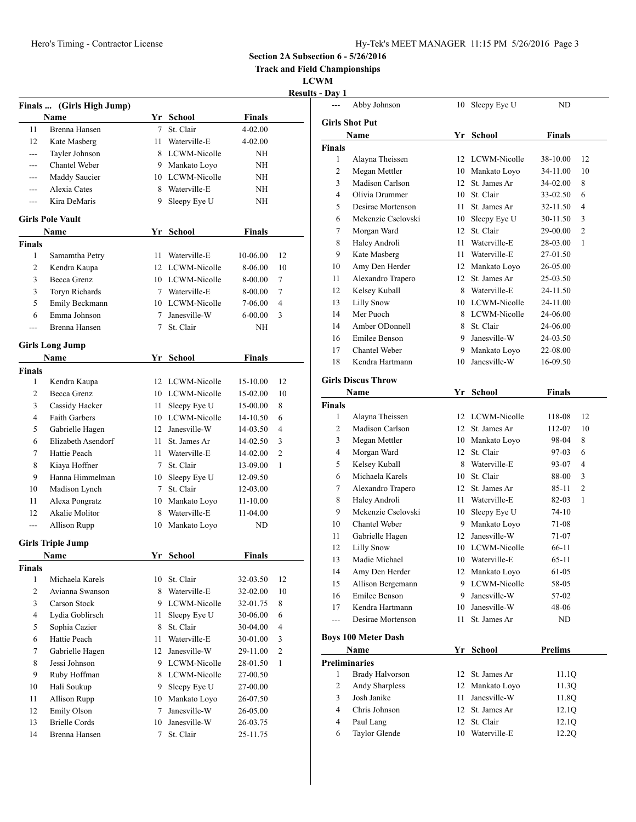# Hy-Tek's MEET MANAGER 11:15 PM 5/26/2016 Page 3

### **Section 2A Subsection 6 - 5/26/2016**

**Track and Field Championships**

**LCWM**

|                |                           |        |                 |               | <b>Results - Day 1</b> |
|----------------|---------------------------|--------|-----------------|---------------|------------------------|
|                | Finals  (Girls High Jump) |        |                 |               |                        |
|                | Name                      |        | Yr School       | <b>Finals</b> | <b>Girls</b> S         |
| 11             | Brenna Hansen             | 7      | St. Clair       | 4-02.00       |                        |
| 12             | Kate Masberg              | 11     | Waterville-E    | 4-02.00       | <b>Finals</b>          |
| $\frac{1}{2}$  | Tayler Johnson            |        | 8 LCWM-Nicolle  | NH            |                        |
| ---            | Chantel Weber             |        | 9 Mankato Loyo  | NH            |                        |
| ---            | Maddy Saucier             |        | 10 LCWM-Nicolle | NH            |                        |
| ---            | Alexia Cates              | 8      | Waterville-E    | NΗ            |                        |
| ---            | Kira DeMaris              | 9      | Sleepy Eye U    | NH            |                        |
|                | <b>Girls Pole Vault</b>   |        |                 |               |                        |
|                | Name                      |        | Yr School       | Finals        |                        |
| <b>Finals</b>  |                           |        |                 |               |                        |
| 1              | Samamtha Petry            | 11     | Waterville-E    | 10-06.00      | 12                     |
| 2              | Kendra Kaupa              | 12     | LCWM-Nicolle    | 8-06.00       | 10                     |
| 3              | Becca Grenz               |        | 10 LCWM-Nicolle | 8-00.00       | 7                      |
| 3              | <b>Toryn Richards</b>     | 7      | Waterville-E    | 8-00.00       | 7                      |
| 5              | Emily Beckmann            |        | 10 LCWM-Nicolle | 7-06.00       | $\overline{4}$         |
| 6              | Emma Johnson              | 7      | Janesville-W    | $6 - 00.00$   | 3                      |
| $\overline{a}$ | Brenna Hansen             | 7      | St. Clair       | NH            |                        |
|                | <b>Girls Long Jump</b>    |        |                 |               |                        |
|                | <b>Name</b>               |        | Yr School       | <b>Finals</b> |                        |
| <b>Finals</b>  |                           |        |                 |               |                        |
| $\mathbf{1}$   | Kendra Kaupa              |        | 12 LCWM-Nicolle | 15-10.00      | Girls D<br>12          |
| $\overline{2}$ | Becca Grenz               |        | 10 LCWM-Nicolle | 15-02.00      | 10                     |
| 3              | Cassidy Hacker            | 11     | Sleepy Eye U    | 15-00.00      | <b>Finals</b><br>8     |
| 4              | <b>Faith Garbers</b>      |        | 10 LCWM-Nicolle | 14-10.50      | 6                      |
| 5              | Gabrielle Hagen           | 12     | Janesville-W    | 14-03.50      | 4                      |
| 6              | Elizabeth Asendorf        | 11     | St. James Ar    | 14-02.50      | 3                      |
| 7              | Hattie Peach              | 11     | Waterville-E    | 14-02.00      | 2                      |
| 8              | Kiaya Hoffner             | 7      | St. Clair       | 13-09.00      | 1                      |
| 9              | Hanna Himmelman           | 10     | Sleepy Eye U    | 12-09.50      |                        |
| 10             | Madison Lynch             | $\tau$ | St. Clair       | 12-03.00      |                        |
| 11             | Alexa Pongratz            | 10     | Mankato Loyo    | $11 - 10.00$  |                        |
| 12             | Akalie Molitor            | 8      | Waterville-E    | 11-04.00      |                        |
| $-$            | Allison Rupp              | 10     | Mankato Loyo    | ND            |                        |
|                | <b>Girls Triple Jump</b>  |        |                 |               |                        |
|                | Name                      |        | Yr School       | <b>Finals</b> |                        |
| <b>Finals</b>  |                           |        |                 |               |                        |
| 1              | Michaela Karels           | 10     | St. Clair       | 32-03.50      | 12                     |
| 2              | Avianna Swanson           | 8      | Waterville-E    | 32-02.00      | 10                     |
| 3              | <b>Carson Stock</b>       | 9      | LCWM-Nicolle    | 32-01.75      | 8                      |
| 4              | Lydia Goblirsch           | 11     | Sleepy Eye U    | 30-06.00      | 6                      |
| 5              | Sophia Cazier             | 8      | St. Clair       | 30-04.00      | 4                      |
| 6              | Hattie Peach              | 11     | Waterville-E    | 30-01.00      | <b>Boys 1</b><br>3     |
| $\tau$         | Gabrielle Hagen           | 12     | Janesville-W    | 29-11.00      | 2                      |
| 8              | Jessi Johnson             | 9      | LCWM-Nicolle    | 28-01.50      | Prelimi<br>1           |
| 9              | Ruby Hoffman              | 8      | LCWM-Nicolle    | 27-00.50      |                        |
| 10             | Hali Soukup               | 9      | Sleepy Eye U    | 27-00.00      |                        |
| 11             | Allison Rupp              | 10     | Mankato Loyo    | 26-07.50      |                        |
| 12             | Emily Olson               | 7      | Janesville-W    | 26-05.00      |                        |
| 13             | <b>Brielle Cords</b>      | 10     | Janesville-W    | 26-03.75      |                        |
| 14             | Brenna Hansen             | 7      | St. Clair       | 25-11.75      |                        |
|                |                           |        |                 |               |                        |

|               | Abby Johnson               | 10 | Sleepy Eye U    | ND             |                |
|---------------|----------------------------|----|-----------------|----------------|----------------|
|               | <b>Girls Shot Put</b>      |    |                 |                |                |
|               | Name                       |    | Yr School       | Finals         |                |
| Finals        |                            |    |                 |                |                |
| 1             | Alayna Theissen            |    | 12 LCWM-Nicolle | 38-10.00       | 12             |
| 2             | Megan Mettler              |    | 10 Mankato Loyo | 34-11.00       | 10             |
| 3             | Madison Carlson            |    | 12 St. James Ar | 34-02.00       | 8              |
| 4             | Olivia Drummer             |    | 10 St. Clair    | 33-02.50       | 6              |
| 5             | Desirae Mortenson          |    | 11 St. James Ar | 32-11.50       | 4              |
| 6             | Mckenzie Cselovski         |    | 10 Sleepy Eye U | 30-11.50       | 3              |
| 7             | Morgan Ward                |    | 12 St. Clair    | 29-00.00       | 2              |
| 8             | Haley Androli              | 11 | Waterville-E    | 28-03.00       | 1              |
| 9             | Kate Masberg               | 11 | Waterville-E    | 27-01.50       |                |
| 10            | Amy Den Herder             |    | 12 Mankato Loyo | 26-05.00       |                |
| 11            | Alexandro Trapero          |    | 12 St. James Ar | 25-03.50       |                |
| 12            | Kelsey Kuball              |    | 8 Waterville-E  | 24-11.50       |                |
| 13            | <b>Lilly Snow</b>          |    | 10 LCWM-Nicolle | 24-11.00       |                |
| 14            | Mer Puoch                  |    | 8 LCWM-Nicolle  | 24-06.00       |                |
| 14            | Amber ODonnell             | 8  | St. Clair       | 24-06.00       |                |
| 16            | Emilee Benson              | 9. | Janesville-W    | 24-03.50       |                |
| 17            | Chantel Weber              | 9  | Mankato Loyo    | 22-08.00       |                |
| 18            | Kendra Hartmann            | 10 | Janesville-W    | 16-09.50       |                |
|               |                            |    |                 |                |                |
|               | <b>Girls Discus Throw</b>  |    |                 |                |                |
|               | Name                       |    | Yr School       | <b>Finals</b>  |                |
| <b>Finals</b> |                            |    |                 |                |                |
| 1             | Alayna Theissen            |    | 12 LCWM-Nicolle | 118-08         | 12             |
| 2             | Madison Carlson            |    | 12 St. James Ar | 112-07         | 10             |
| 3             | Megan Mettler              |    | 10 Mankato Loyo | 98-04          | 8              |
| 4             | Morgan Ward                |    | 12 St. Clair    | 97-03          | 6              |
| 5             | Kelsey Kuball              |    | 8 Waterville-E  | 93-07          | 4              |
| 6             | Michaela Karels            |    | 10 St. Clair    | 88-00          | 3              |
| 7             | Alexandro Trapero          |    | 12 St. James Ar | 85-11          | $\overline{2}$ |
| 8             | Haley Androli              | 11 | Waterville-E    | 82-03          | 1              |
| 9             | Mckenzie Cselovski         |    | 10 Sleepy Eye U | 74-10          |                |
| 10            | Chantel Weber              |    | 9 Mankato Loyo  | 71-08          |                |
| 11            | Gabrielle Hagen            |    | 12 Janesville-W | 71-07          |                |
| 12            | <b>Lilly Snow</b>          |    | 10 LCWM-Nicolle | 66-11          |                |
| 13            | Madie Michael              | 10 | Waterville-E    | 65-11          |                |
| 14            | Amy Den Herder             | 12 | Mankato Loyo    | 61-05          |                |
| 15            | Allison Bergemann          | 9  | LCWM-Nicolle    | 58-05          |                |
| 16            | Emilee Benson              | 9. | Janesville-W    | 57-02          |                |
| 17            | Kendra Hartmann            | 10 | Janesville-W    | 48-06          |                |
| $---$         | Desirae Mortenson          | 11 | St. James Ar    | ND             |                |
|               | <b>Boys 100 Meter Dash</b> |    |                 |                |                |
|               | Name                       |    | Yr School       | <b>Prelims</b> |                |
|               | <b>Preliminaries</b>       |    |                 |                |                |
| 1             | <b>Brady Halvorson</b>     |    | 12 St. James Ar | 11.1Q          |                |
| 2             | Andy Sharpless             |    | 12 Mankato Loyo | 11.3Q          |                |
| 3             | Josh Janike                | 11 | Janesville-W    | 11.8Q          |                |
| 4             | Chris Johnson              |    | 12 St. James Ar | 12.1Q          |                |
| 4             | Paul Lang                  |    | 12 St. Clair    | 12.1Q          |                |
|               |                            |    |                 |                |                |
| 6             | Taylor Glende              | 10 | Waterville-E    | 12.2Q          |                |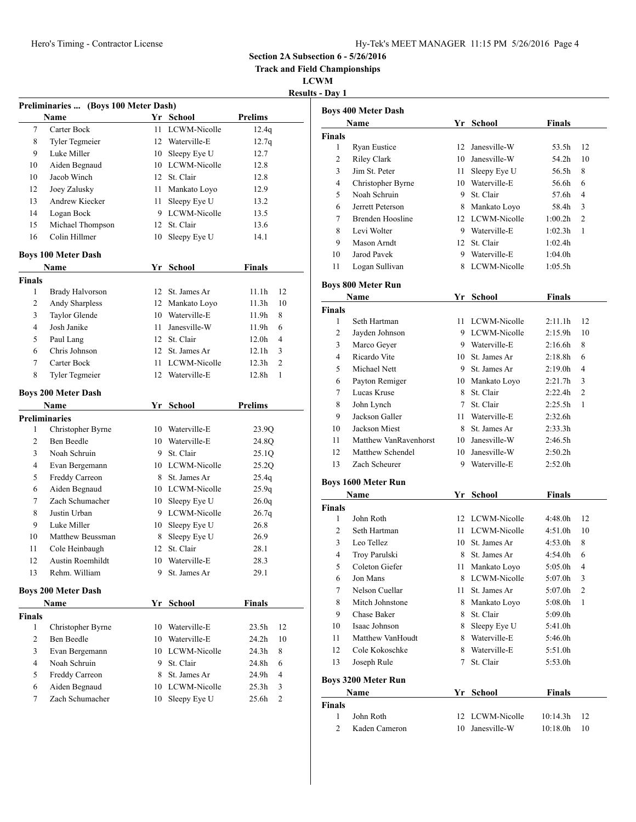**Track and Field Championships**

**LCWM Results - Day 1**

|               | Preliminaries  (Boys 100 Meter Dash) |      |                 |                         |
|---------------|--------------------------------------|------|-----------------|-------------------------|
|               | <b>Name</b>                          |      | Yr School       | <b>Prelims</b>          |
| 7             | Carter Bock                          | 11   | LCWM-Nicolle    | 12.4q                   |
| 8             | Tyler Tegmeier                       |      | 12 Waterville-E | 12.7 <sub>q</sub>       |
| 9             | Luke Miller                          |      | 10 Sleepy Eye U | 12.7                    |
| 10            | Aiden Begnaud                        |      | 10 LCWM-Nicolle | 12.8                    |
| 10            | Jacob Winch                          |      | 12 St. Clair    | 12.8                    |
| 12            | Joey Zalusky                         |      | 11 Mankato Loyo | 12.9                    |
| 13            | Andrew Kiecker                       | 11 - | Sleepy Eye U    | 13.2                    |
| 14            | Logan Bock                           |      | 9 LCWM-Nicolle  | 13.5                    |
| 15            | Michael Thompson                     | 12   | St. Clair       | 13.6                    |
| 16            | Colin Hillmer                        | 10   | Sleepy Eye U    | 14.1                    |
|               | <b>Boys 100 Meter Dash</b>           |      |                 |                         |
|               | Name                                 |      | Yr School       | <b>Finals</b>           |
| <b>Finals</b> |                                      |      |                 |                         |
| 1             | <b>Brady Halvorson</b>               |      | 12 St. James Ar | 11.1h<br>12             |
| 2             | Andy Sharpless                       |      | 12 Mankato Loyo | 11.3h<br>10             |
| 3             | Taylor Glende                        |      | 10 Waterville-E | 11.9h<br>8              |
| 4             | Josh Janike                          | 11   | Janesville-W    | 11.9h<br>6              |
| 5             | Paul Lang                            |      | 12 St. Clair    | 4<br>12.0 <sub>h</sub>  |
| 6             | Chris Johnson                        |      | 12 St. James Ar | 12.1h<br>3              |
| 7             | Carter Bock                          | 11   | LCWM-Nicolle    | 2<br>12.3 <sub>h</sub>  |
| 8             | Tyler Tegmeier                       | 12   | Waterville-E    | 12.8h<br>$\mathbf{1}$   |
|               | <b>Boys 200 Meter Dash</b>           |      |                 |                         |
|               | <b>Name</b>                          |      | Yr School       | <b>Prelims</b>          |
|               | <b>Preliminaries</b>                 |      |                 |                         |
| 1             | Christopher Byrne                    |      | 10 Waterville-E | 23.9Q                   |
| 2             | Ben Beedle                           |      | 10 Waterville-E | 24.8Q                   |
| 3             | Noah Schruin                         | 9.   | St. Clair       | 25.1Q                   |
| 4             | Evan Bergemann                       |      | 10 LCWM-Nicolle | 25.2Q                   |
| 5             | Freddy Carreon                       | 8    | St. James Ar    | 25.4q                   |
| 6             | Aiden Begnaud                        |      | 10 LCWM-Nicolle | 25.9q                   |
| 7             | Zach Schumacher                      |      | 10 Sleepy Eye U | 26.0q                   |
| 8             | Justin Urban                         |      | 9 LCWM-Nicolle  | 26.7q                   |
| 9             | Luke Miller                          |      | 10 Sleepy Eye U | 26.8                    |
| 10            | Matthew Beussman                     | 8    | Sleepy Eye U    | 26.9                    |
| 11            | Cole Heinbaugh                       | 12   | St. Clair       | 28.1                    |
| 12            | Austin Roemhildt                     |      | 10 Waterville-E | 28.3                    |
| 13            | Rehm. William                        | 9    | St. James Ar    | 29.1                    |
|               | <b>Boys 200 Meter Dash</b>           |      |                 |                         |
|               | Name                                 |      | Yr School       | <b>Finals</b>           |
| <b>Finals</b> |                                      |      |                 |                         |
| 1             | Christopher Byrne                    |      | 10 Waterville-E | 12<br>23.5 <sub>h</sub> |
| 2             | <b>Ben Beedle</b>                    | 10   | Waterville-E    | 24.2h<br>10             |
| 3             | Evan Bergemann                       |      | 10 LCWM-Nicolle | 24.3h<br>8              |
| 4             | Noah Schruin                         | 9.   | St. Clair       | 24.8h<br>6              |
| 5             | Freddy Carreon                       | 8    | St. James Ar    | 4<br>24.9h              |
| 6             | Aiden Begnaud                        | 10   | LCWM-Nicolle    | 3<br>25.3 <sub>h</sub>  |
| 7             | Zach Schumacher                      | 10   | Sleepy Eye U    | 2<br>25.6h              |
|               |                                      |      |                 |                         |

|               | <b>Boys 400 Meter Dash</b> |             |                 |               |    |
|---------------|----------------------------|-------------|-----------------|---------------|----|
|               | Name                       |             | Yr School       | <b>Finals</b> |    |
| <b>Finals</b> |                            |             |                 |               |    |
| 1             | Ryan Eustice               |             | 12 Janesville-W | 53.5h         | 12 |
| 2             | <b>Riley Clark</b>         |             | 10 Janesville-W | 54.2h         | 10 |
| 3             | Jim St. Peter              | 11          | Sleepy Eye U    | 56.5h         | 8  |
| 4             | Christopher Byrne          |             | 10 Waterville-E | 56.6h         | 6  |
| 5             | Noah Schruin               | 9           | St. Clair       | 57.6h         | 4  |
| 6             | Jerrett Peterson           |             | 8 Mankato Loyo  | 58.4h         | 3  |
| 7             | Brenden Hoosline           |             | 12 LCWM-Nicolle | 1:00.2h       | 2  |
| 8             | Levi Wolter                |             | 9 Waterville-E  | 1:02.3h       | 1  |
| 9             | Mason Arndt                |             | 12 St. Clair    | 1:02.4h       |    |
| 10            | Jarod Pavek                |             | 9 Waterville-E  | 1:04.0h       |    |
| 11            | Logan Sullivan             | 8           | LCWM-Nicolle    | 1:05.5h       |    |
|               | <b>Boys 800 Meter Run</b>  |             |                 |               |    |
|               | Name                       | Yr          | School          | Finals        |    |
| <b>Finals</b> |                            |             |                 |               |    |
| 1             | Seth Hartman               | 11          | LCWM-Nicolle    | 2:11.1h       | 12 |
| 2             | Jayden Johnson             |             | 9 LCWM-Nicolle  | 2:15.9h       | 10 |
| 3             | Marco Geyer                |             | 9 Waterville-E  | 2:16.6h       | 8  |
| 4             | Ricardo Vite               |             | 10 St. James Ar | 2:18.8h       | 6  |
| 5             | Michael Nett               |             | 9 St. James Ar  | 2:19.0h       | 4  |
| 6             | Payton Remiger             |             | 10 Mankato Loyo | 2:21.7h       | 3  |
| 7             | Lucas Kruse                | 8           | St. Clair       | 2:22.4h       | 2  |
| 8             | John Lynch                 | $7^{\circ}$ | St. Clair       | 2:25.5h       | 1  |
| 9             | Jackson Galler             | 11          | Waterville-E    | 2:32.6h       |    |
| 10            | Jackson Miest              |             | 8 St. James Ar  | 2:33.3h       |    |
| 11            | Matthew VanRavenhorst      |             | 10 Janesville-W | 2:46.5h       |    |
| 12            | Matthew Schendel           |             | 10 Janesville-W | 2:50.2h       |    |
| 13            | Zach Scheurer              | 9           | Waterville-E    | 2:52.0h       |    |
|               |                            |             |                 |               |    |
|               | <b>Boys 1600 Meter Run</b> |             |                 |               |    |
|               | Name                       | Yr          | School          | <b>Finals</b> |    |
| <b>Finals</b> |                            |             |                 |               |    |
| 1             | John Roth                  |             | 12 LCWM-Nicolle | 4:48.0h       | 12 |
| 2             | Seth Hartman               | 11          | LCWM-Nicolle    | 4:51.0h       | 10 |
| 3             | Leo Tellez                 | 10          | St. James Ar    | 4:53.0h       | 8  |
| 4             | Troy Parulski              | 8           | St. James Ar    | 4:54.0h       | 6  |
| 5             | Coleton Giefer             | 11          | Mankato Loyo    | 5:05.0h       | 4  |
| 6             | Jon Mans                   | 8           | LCWM-Nicolle    | 5:07.0h       | 3  |
| 7             | Nelson Cuellar             | 11          | St. James Ar    | 5:07.0h       | 2  |
| 8             | Mitch Johnstone            | 8           | Mankato Loyo    | 5:08.0h       | 1  |
| 9             | Chase Baker                | 8           | St. Clair       | 5:09.0h       |    |
| 10            | Isaac Johnson              | 8           | Sleepy Eye U    | 5:41.0h       |    |
| 11            | Matthew VanHoudt           | 8           | Waterville-E    | 5:46.0h       |    |
| 12            | Cole Kokoschke             | 8           | Waterville-E    | 5:51.0h       |    |
| 13            | Joseph Rule                | 7           | St. Clair       | 5:53.0h       |    |
|               | <b>Boys 3200 Meter Run</b> |             |                 |               |    |
|               | Name                       |             | Yr School       | <b>Finals</b> |    |
| Finals        |                            |             |                 |               |    |
| 1             | John Roth                  | 12          | LCWM-Nicolle    | 10:14.3h      | 12 |
| 2             | Kaden Cameron              | 10          | Janesville-W    | 10:18.0h      | 10 |
|               |                            |             |                 |               |    |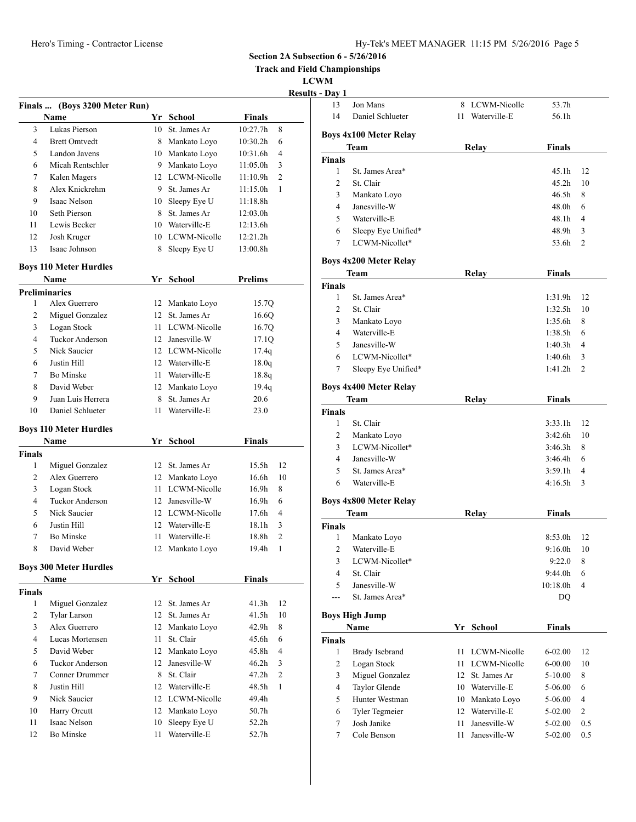**Track and Field Championships**

**LCWM**

**Results - Day 1**

|               |                               |     |                 |                | rest           |
|---------------|-------------------------------|-----|-----------------|----------------|----------------|
| Finals …      | (Boys 3200 Meter Run)         |     |                 |                |                |
|               | Name                          |     | Yr School       | <b>Finals</b>  |                |
| 3             | Lukas Pierson                 | 10  | St. James Ar    | 10:27.7h       | 8              |
| 4             | <b>Brett Omtvedt</b>          |     | 8 Mankato Loyo  | 10:30.2h       | 6              |
| 5             | Landon Javens                 |     | 10 Mankato Loyo | 10:31.6h       | 4              |
| 6             | Micah Rentschler              |     | 9 Mankato Loyo  | 11:05.0h       | 3              |
| 7             | Kalen Magers                  |     | 12 LCWM-Nicolle | 11:10.9h       | $\overline{c}$ |
| 8             | Alex Knickrehm                | 9   | St. James Ar    | 11:15.0h       | 1              |
| 9             | <b>Isaac Nelson</b>           | 10  | Sleepy Eye U    | 11:18.8h       |                |
| 10            | Seth Pierson                  | 8   | St. James Ar    | 12:03.0h       |                |
| 11            | Lewis Becker                  |     | 10 Waterville-E | 12:13.6h       |                |
| 12            | Josh Kruger                   |     | 10 LCWM-Nicolle | 12:21.2h       |                |
| 13            | Isaac Johnson                 | 8   | Sleepy Eye U    | 13:00.8h       |                |
|               | <b>Boys 110 Meter Hurdles</b> |     |                 |                |                |
|               | Name                          |     | Yr School       | <b>Prelims</b> |                |
|               | <b>Preliminaries</b>          |     |                 |                |                |
| 1             | Alex Guerrero                 |     | 12 Mankato Loyo | 15.7Q          |                |
| 2             | Miguel Gonzalez               |     | 12 St. James Ar | 16.6Q          |                |
| 3             | Logan Stock                   |     | 11 LCWM-Nicolle | 16.7Q          |                |
| 4             | <b>Tuckor Anderson</b>        |     | 12 Janesville-W | 17.1Q          |                |
| 5             | Nick Saucier                  |     | 12 LCWM-Nicolle | 17.4q          |                |
| 6             | Justin Hill                   |     | 12 Waterville-E | 18.0q          |                |
| 7             | <b>Bo Minske</b>              |     | 11 Waterville-E | 18.8q          |                |
| 8             | David Weber                   | 12  | Mankato Loyo    | 19.4q          |                |
| 9             | Juan Luis Herrera             | 8   | St. James Ar    | 20.6           |                |
| 10            | Daniel Schlueter              | 11  | Waterville-E    | 23.0           |                |
|               | <b>Boys 110 Meter Hurdles</b> |     |                 |                |                |
|               | Name                          |     | Yr School       | <b>Finals</b>  |                |
| <b>Finals</b> |                               |     |                 |                |                |
| 1             | Miguel Gonzalez               |     | 12 St. James Ar | 15.5h          | 12             |
| 2             | Alex Guerrero                 |     | 12 Mankato Loyo | 16.6h          | 10             |
| 3             | Logan Stock                   | 11  | LCWM-Nicolle    | 16.9h          | 8              |
| 4             | Tuckor Anderson               |     | 12 Janesville-W | 16.9h          | 6              |
| 5             | Nick Saucier                  |     | 12 LCWM-Nicolle | 17.6h          | 4              |
| 6             | Justin Hill                   |     | 12 Waterville-E | 18.1h          | 3              |
| 7             | <b>Bo Minske</b>              | 11. | Waterville-E    | 18.8h          | $\overline{c}$ |
| 8             | David Weber                   | 12  | Mankato Loyo    | 19.4h          | 1              |
|               | <b>Boys 300 Meter Hurdles</b> |     |                 |                |                |
|               | Name                          | Yr  | School          | Finals         |                |
| Finals        |                               |     |                 |                |                |
| 1             | Miguel Gonzalez               |     | 12 St. James Ar | 41.3h          | 12             |
| $\mathbf{2}$  | Tylar Larson                  |     | 12 St. James Ar | 41.5h          | 10             |
| 3             | Alex Guerrero                 |     | 12 Mankato Loyo | 42.9h          | 8              |
| 4             | Lucas Mortensen               | 11  | St. Clair       | 45.6h          | 6              |
| 5             | David Weber                   |     | 12 Mankato Loyo | 45.8h          | 4              |
| 6             | Tuckor Anderson               | 12  | Janesville-W    | 46.2h          | 3              |
| 7             | Conner Drummer                | 8   | St. Clair       | 47.2h          | 2              |
| 8             | Justin Hill                   |     | 12 Waterville-E | 48.5h          | 1              |
| 9             | Nick Saucier                  |     | 12 LCWM-Nicolle | 49.4h          |                |
| 10            | Harry Orcutt                  | 12  | Mankato Loyo    | 50.7h          |                |
| 11            | Isaac Nelson                  | 10  | Sleepy Eye U    | 52.2h          |                |
| 12            | Bo Minske                     | 11  | Waterville-E    | 52.7h          |                |

| рау 1                   |                               |    |                 |                   |                |
|-------------------------|-------------------------------|----|-----------------|-------------------|----------------|
| 13                      | Jon Mans                      | 8  | LCWM-Nicolle    | 53.7h             |                |
| 14                      | Daniel Schlueter              | 11 | Waterville-E    | 56.1h             |                |
|                         |                               |    |                 |                   |                |
|                         | <b>Boys 4x100 Meter Relay</b> |    |                 |                   |                |
|                         | Team                          |    | Relay           | Finals            |                |
| <b>Finals</b>           |                               |    |                 |                   |                |
| 1                       | St. James Area*               |    |                 | 45.1h             | 12             |
| 2                       | St. Clair                     |    |                 | 45.2 <sub>h</sub> | 10             |
| 3                       | Mankato Loyo                  |    |                 | 46.5h             | 8              |
| 4                       | Janesville-W                  |    |                 | 48.0h             | 6              |
| 5                       | Waterville-E                  |    |                 | 48.1h             | 4              |
| 6                       | Sleepy Eye Unified*           |    |                 | 48.9h             | 3              |
| 7                       | LCWM-Nicollet*                |    |                 | 53.6h             | $\overline{2}$ |
|                         |                               |    |                 |                   |                |
|                         | <b>Boys 4x200 Meter Relay</b> |    |                 |                   |                |
|                         | Team                          |    | <b>Relay</b>    | <b>Finals</b>     |                |
| <b>Finals</b>           |                               |    |                 |                   |                |
| 1                       | St. James Area*               |    |                 | 1:31.9h           | 12             |
| 2                       | St. Clair                     |    |                 | 1:32.5h           | 10             |
| 3                       | Mankato Loyo                  |    |                 | 1:35.6h           | 8              |
| 4                       | Waterville-E                  |    |                 | 1:38.5h           | 6              |
| 5                       | Janesville-W                  |    |                 |                   | 4              |
|                         | LCWM-Nicollet*                |    |                 | 1:40.3h           |                |
| 6                       |                               |    |                 | 1:40.6h           | 3              |
| 7                       | Sleepy Eye Unified*           |    |                 | 1:41.2h           | $\overline{2}$ |
|                         | <b>Boys 4x400 Meter Relay</b> |    |                 |                   |                |
|                         | Team                          |    | Relay           | <b>Finals</b>     |                |
| <b>Finals</b>           |                               |    |                 |                   |                |
| 1                       | St. Clair                     |    |                 | 3:33.1h           | 12             |
| 2                       |                               |    |                 | 3:42.6h           | 10             |
|                         | Mankato Loyo                  |    |                 |                   |                |
| 3                       | LCWM-Nicollet*                |    |                 | 3:46.3h           | 8              |
| 4                       | Janesville-W                  |    |                 | 3:46.4h           | 6              |
| 5                       | St. James Area*               |    |                 | 3:59.1h           | 4              |
| 6                       | Waterville-E                  |    |                 | 4:16.5h           | 3              |
|                         | Boys 4x800 Meter Relay        |    |                 |                   |                |
|                         | Team                          |    | Relay           | <b>Finals</b>     |                |
|                         |                               |    |                 |                   |                |
| <b>Finals</b>           |                               |    |                 |                   |                |
| 1                       | Mankato Loyo                  |    |                 | 8:53.0h           | 12             |
| 2                       | Waterville-E                  |    |                 | 9:16.0h           | 10             |
| 3                       | LCWM-Nicollet*                |    |                 | 9:22.0            | 8              |
| 4                       | St. Clair                     |    |                 | 9:44.0h           | 6              |
| 5                       | Janesville-W                  |    |                 | 10:18.0h          | 4              |
| ---                     | St. James Area*               |    |                 | DQ                |                |
|                         | <b>Boys High Jump</b>         |    |                 |                   |                |
|                         |                               |    |                 |                   |                |
|                         | Name                          | Yr | <b>School</b>   | <b>Finals</b>     |                |
| <b>Finals</b>           |                               |    |                 |                   |                |
| 1                       | <b>Brady Isebrand</b>         | 11 | LCWM-Nicolle    | $6 - 02.00$       | 12             |
| $\overline{c}$          | Logan Stock                   | 11 | LCWM-Nicolle    | $6 - 00.00$       | 10             |
| 3                       | Miguel Gonzalez               | 12 | St. James Ar    | 5-10.00           | 8              |
|                         |                               |    | 10 Waterville-E | 5-06.00           | 6              |
| $\overline{\mathbf{4}}$ | Taylor Glende                 |    |                 |                   |                |
| 5                       | Hunter Westman                | 10 | Mankato Loyo    | 5-06.00           | 4              |
| 6                       | Tyler Tegmeier                | 12 | Waterville-E    | 5-02.00           | $\mathfrak{2}$ |
| 7                       | Josh Janike                   | 11 | Janesville-W    | 5-02.00           | 0.5            |
| $\tau$                  | Cole Benson                   | 11 | Janesville-W    | 5-02.00           | 0.5            |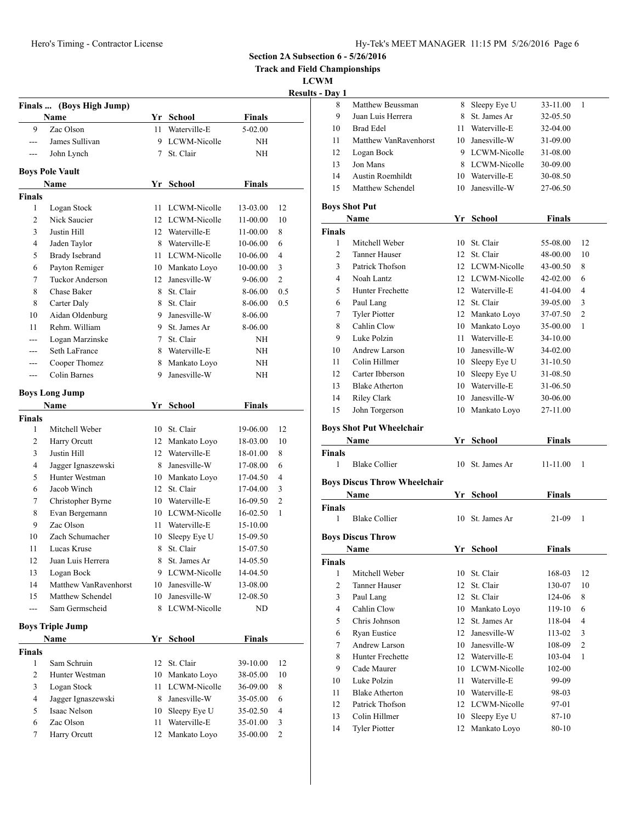**Track and Field Championships**

**LCWM**

### <u>rts - I</u>

|                | Finals  (Boys High Jump)<br>Name |    | Yr School                    | <b>Finals</b> |     |
|----------------|----------------------------------|----|------------------------------|---------------|-----|
| 9              | Zac Olson                        | 11 | Waterville-E                 | 5-02.00       |     |
| ---            | James Sullivan                   | 9  | LCWM-Nicolle                 | NΗ            |     |
| $---$          | John Lynch                       | 7  | St. Clair                    | NΗ            |     |
|                | <b>Boys Pole Vault</b>           |    |                              |               |     |
|                | Name                             |    | Yr School                    | <b>Finals</b> |     |
| <b>Finals</b>  |                                  |    |                              |               |     |
| 1              | Logan Stock                      | 11 | LCWM-Nicolle                 | 13-03.00      | 12  |
| $\overline{c}$ | Nick Saucier                     | 12 | LCWM-Nicolle                 | 11-00.00      | 10  |
| 3              | Justin Hill                      |    | 12 Waterville-E              | 11-00.00      | 8   |
| 4              | Jaden Taylor                     | 8  | Waterville-E                 | 10-06.00      | 6   |
| 5              | <b>Brady Isebrand</b>            | 11 | LCWM-Nicolle                 | 10-06.00      | 4   |
| 6              | Payton Remiger                   |    | 10 Mankato Loyo              | 10-00.00      | 3   |
| 7              | Tuckor Anderson                  | 12 | Janesville-W                 | 9-06.00       | 2   |
| 8              | Chase Baker                      | 8  | St. Clair                    | 8-06.00       | 0.5 |
| 8              | Carter Daly                      | 8  | St. Clair                    | 8-06.00       | 0.5 |
| 10             | Aidan Oldenburg                  | 9. | Janesville-W                 | 8-06.00       |     |
| 11             | Rehm. William                    | 9. | St. James Ar                 | 8-06.00       |     |
| ---            | Logan Marzinske                  | 7  | St. Clair                    | NΗ            |     |
| $---$          | Seth LaFrance                    | 8  | Waterville-E                 | ΝH            |     |
| ---            | Cooper Thomez                    | 8  | Mankato Loyo                 | ΝH            |     |
| ---            | Colin Barnes                     | 9  | Janesville-W                 | NΗ            |     |
|                | <b>Boys Long Jump</b>            |    |                              |               |     |
|                | Name                             |    | Yr School                    | <b>Finals</b> |     |
| <b>Finals</b>  |                                  |    |                              |               |     |
| $\mathbf{1}$   | Mitchell Weber                   | 10 | St. Clair                    | 19-06.00      | 12  |
| 2              | Harry Orcutt                     | 12 | Mankato Loyo                 | 18-03.00      | 10  |
| 3              | Justin Hill                      | 12 | Waterville-E                 | 18-01.00      | 8   |
| 4              | Jagger Ignaszewski               | 8  | Janesville-W                 | 17-08.00      | 6   |
| 5              | Hunter Westman                   |    | 10 Mankato Loyo              | 17-04.50      | 4   |
| 6              | Jacob Winch                      |    | 12 St. Clair                 | 17-04.00      | 3   |
| 7              | Christopher Byrne                |    | 10 Waterville-E              | 16-09.50      | 2   |
| 8              | Evan Bergemann                   |    | 10 LCWM-Nicolle              | 16-02.50      | 1   |
| 9              | Zac Olson                        | 11 | Waterville-E                 | 15-10.00      |     |
| 10             | Zach Schumacher                  | 10 | Sleepy Eye U                 | 15-09.50      |     |
| 11             | Lucas Kruse                      |    | 8 St. Clair                  | 15-07.50      |     |
| 12             | Juan Luis Herrera                |    | 8 St. James Ar               | 14-05.50      |     |
| 13             | Logan Bock                       | 9. | LCWM-Nicolle                 | 14-04.50      |     |
| 14             | Matthew VanRavenhorst            | 10 | Janesville-W                 | 13-08.00      |     |
| 15             | Matthew Schendel                 | 10 | Janesville-W                 | 12-08.50      |     |
| ---            | Sam Germscheid                   | 8  | LCWM-Nicolle                 | ND            |     |
|                | <b>Boys Triple Jump</b>          |    |                              |               |     |
|                | Name                             |    | Yr School                    | <b>Finals</b> |     |
| <b>Finals</b>  |                                  |    |                              |               |     |
| 1              | Sam Schruin                      | 12 | St. Clair                    | 39-10.00      | 12  |
| $\overline{c}$ | Hunter Westman                   |    | 10 Mankato Loyo              | 38-05.00      | 10  |
| 3              | Logan Stock                      | 11 | LCWM-Nicolle                 | 36-09.00      | 8   |
|                | Jagger Ignaszewski               | 8  | Janesville-W                 | 35-05.00      | 6   |
| 4              |                                  |    |                              |               |     |
| 5              | Isaac Nelson                     | 10 |                              | 35-02.50      | 4   |
| 6              | Zac Olson                        | 11 | Sleepy Eye U<br>Waterville-E | 35-01.00      | 3   |

| - Day 1        |                                       |          |                              |                |                |
|----------------|---------------------------------------|----------|------------------------------|----------------|----------------|
| 8              | Matthew Beussman                      | 8        | Sleepy Eye U                 | 33-11.00       | 1              |
| 9              | Juan Luis Herrera                     | 8        | St. James Ar                 | 32-05.50       |                |
| 10             | <b>Brad Edel</b>                      | 11 -     | Waterville-E                 | 32-04.00       |                |
| 11             | Matthew VanRavenhorst                 |          | 10 Janesville-W              | 31-09.00       |                |
| 12             | Logan Bock                            |          | 9 LCWM-Nicolle               | 31-08.00       |                |
| 13             | Jon Mans                              |          | 8 LCWM-Nicolle               | 30-09.00       |                |
| 14             | <b>Austin Roemhildt</b>               |          | 10 Waterville-E              | 30-08.50       |                |
| 15             | Matthew Schendel                      |          | 10 Janesville-W              | 27-06.50       |                |
|                | <b>Boys Shot Put</b>                  |          |                              |                |                |
|                | Name                                  |          | Yr School                    | <b>Finals</b>  |                |
| <b>Finals</b>  |                                       |          |                              |                |                |
| 1              | Mitchell Weber                        | 10       | St. Clair                    | 55-08.00       | 12             |
| $\overline{c}$ | <b>Tanner Hauser</b>                  |          | 12 St. Clair                 | 48-00.00       | 10             |
| 3              | Patrick Thofson                       |          | 12 LCWM-Nicolle              | 43-00.50       | 8              |
| 4              | Noah Lantz                            |          | 12 LCWM-Nicolle              | 42-02.00       | 6              |
| 5              | Hunter Frechette                      |          | 12 Waterville-E              | 41-04.00       | 4              |
| 6              | Paul Lang                             |          | 12 St. Clair                 | 39-05.00       | 3              |
| 7              | <b>Tyler Piotter</b>                  |          | 12 Mankato Loyo              | 37-07.50       | $\overline{c}$ |
| 8              | Cahlin Clow                           |          | 10 Mankato Loyo              | 35-00.00       | 1              |
| 9              | Luke Polzin                           |          | 11 Waterville-E              | 34-10.00       |                |
| 10             | Andrew Larson                         |          | 10 Janesville-W              | 34-02.00       |                |
| 11             | Colin Hillmer                         |          | 10 Sleepy Eye U              | 31-10.50       |                |
| 12             | Carter Ibberson                       |          | 10 Sleepy Eye U              | 31-08.50       |                |
| 13             | <b>Blake Atherton</b>                 |          | 10 Waterville-E              | 31-06.50       |                |
| 14             | <b>Riley Clark</b>                    | 10       | Janesville-W                 | 30-06.00       |                |
| 15             | John Torgerson                        |          | 10 Mankato Loyo              | 27-11.00       |                |
|                |                                       |          |                              |                |                |
|                |                                       |          |                              |                |                |
|                | <b>Boys Shot Put Wheelchair</b>       |          |                              |                |                |
|                | Name                                  |          | Yr School                    | <b>Finals</b>  |                |
| <b>Finals</b>  |                                       |          |                              |                |                |
| 1              | <b>Blake Collier</b>                  | 10       | St. James Ar                 | 11-11.00       | 1              |
|                | <b>Boys Discus Throw Wheelchair</b>   |          |                              |                |                |
|                | Name                                  |          | Yr School                    | Finals         |                |
| <b>Finals</b>  |                                       |          |                              |                |                |
| 1              | <b>Blake Collier</b>                  |          | 10 St. James Ar              | 21-09          | 1              |
|                |                                       |          |                              |                |                |
|                | <b>Boys Discus Throw</b>              |          |                              |                |                |
|                | Name                                  |          | Yr School                    | <b>Finals</b>  |                |
| <b>Finals</b>  |                                       |          |                              |                |                |
| 1              | Mitchell Weber                        | 10       | St. Clair                    | 168-03         | 12             |
| $\overline{c}$ | Tanner Hauser                         | 12       | St. Clair                    | 130-07         | 10             |
| 3              | Paul Lang                             | 12       | St. Clair                    | 124-06         | 8              |
| $\overline{4}$ | Cahlin Clow                           | 10       | Mankato Loyo                 | 119-10         | 6              |
| 5              | Chris Johnson                         | 12       | St. James Ar                 | 118-04         | 4              |
| 6              | <b>Ryan Eustice</b>                   | 12       | Janesville-W                 | 113-02         | 3              |
| 7              | Andrew Larson                         | 10       | Janesville-W                 | 108-09         | $\overline{2}$ |
| 8              | Hunter Frechette                      |          | 12 Waterville-E              | 103-04         | 1              |
| 9              | Cade Maurer                           |          | 10 LCWM-Nicolle              | 102-00         |                |
| 10             | Luke Polzin                           | 11       | Waterville-E                 | 99-09          |                |
| 11             | <b>Blake Atherton</b>                 |          | 10 Waterville-E              | 98-03          |                |
| 12             | Patrick Thofson                       |          | 12 LCWM-Nicolle              | 97-01          |                |
| 13<br>14       | Colin Hillmer<br><b>Tyler Piotter</b> | 10<br>12 | Sleepy Eye U<br>Mankato Loyo | 87-10<br>80-10 |                |